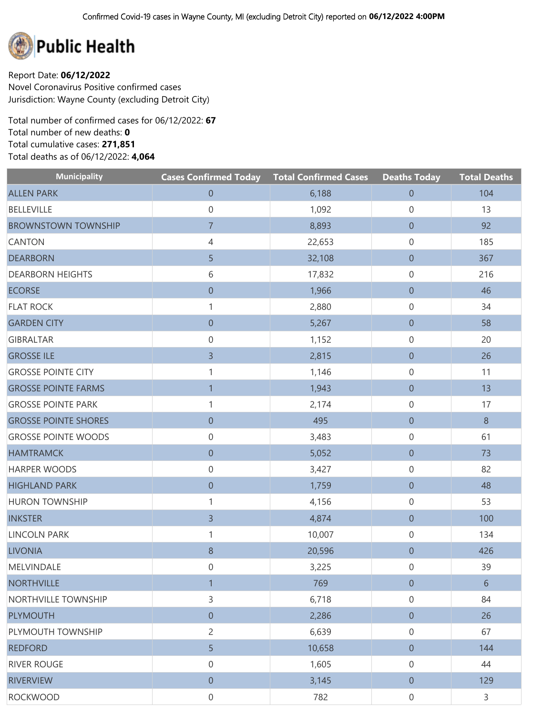

Report Date: **06/12/2022** Novel Coronavirus Positive confirmed cases Jurisdiction: Wayne County (excluding Detroit City)

Total number of confirmed cases for 06/12/2022: **67** Total number of new deaths: **0** Total cumulative cases: **271,851** Total deaths as of 06/12/2022: **4,064**

| <b>Municipality</b>         | <b>Cases Confirmed Today Total Confirmed Cases</b> |        | <b>Deaths Today</b> | <b>Total Deaths</b> |
|-----------------------------|----------------------------------------------------|--------|---------------------|---------------------|
| <b>ALLEN PARK</b>           | $\boldsymbol{0}$                                   | 6,188  | $\boldsymbol{0}$    | 104                 |
| <b>BELLEVILLE</b>           | $\boldsymbol{0}$                                   | 1,092  | 0                   | 13                  |
| <b>BROWNSTOWN TOWNSHIP</b>  | $\overline{7}$                                     | 8,893  | $\boldsymbol{0}$    | 92                  |
| <b>CANTON</b>               | $\overline{4}$                                     | 22,653 | $\mathbf 0$         | 185                 |
| <b>DEARBORN</b>             | 5                                                  | 32,108 | $\boldsymbol{0}$    | 367                 |
| <b>DEARBORN HEIGHTS</b>     | 6                                                  | 17,832 | $\boldsymbol{0}$    | 216                 |
| <b>ECORSE</b>               | $\boldsymbol{0}$                                   | 1,966  | $\boldsymbol{0}$    | 46                  |
| <b>FLAT ROCK</b>            | 1                                                  | 2,880  | $\boldsymbol{0}$    | 34                  |
| <b>GARDEN CITY</b>          | $\boldsymbol{0}$                                   | 5,267  | $\boldsymbol{0}$    | 58                  |
| <b>GIBRALTAR</b>            | $\boldsymbol{0}$                                   | 1,152  | $\mathbf 0$         | 20                  |
| <b>GROSSE ILE</b>           | 3                                                  | 2,815  | $\boldsymbol{0}$    | 26                  |
| <b>GROSSE POINTE CITY</b>   | 1                                                  | 1,146  | $\mathbf 0$         | 11                  |
| <b>GROSSE POINTE FARMS</b>  | $\mathbf{1}$                                       | 1,943  | $\boldsymbol{0}$    | 13                  |
| <b>GROSSE POINTE PARK</b>   | 1                                                  | 2,174  | $\mathbf 0$         | 17                  |
| <b>GROSSE POINTE SHORES</b> | $\boldsymbol{0}$                                   | 495    | $\boldsymbol{0}$    | 8                   |
| <b>GROSSE POINTE WOODS</b>  | $\boldsymbol{0}$                                   | 3,483  | $\boldsymbol{0}$    | 61                  |
| <b>HAMTRAMCK</b>            | $\boldsymbol{0}$                                   | 5,052  | $\boldsymbol{0}$    | 73                  |
| <b>HARPER WOODS</b>         | $\boldsymbol{0}$                                   | 3,427  | $\mathbf 0$         | 82                  |
| <b>HIGHLAND PARK</b>        | $\boldsymbol{0}$                                   | 1,759  | $\boldsymbol{0}$    | 48                  |
| <b>HURON TOWNSHIP</b>       | 1                                                  | 4,156  | $\mathbf 0$         | 53                  |
| <b>INKSTER</b>              | 3                                                  | 4,874  | $\boldsymbol{0}$    | 100                 |
| <b>LINCOLN PARK</b>         | 1                                                  | 10,007 | $\mathbf 0$         | 134                 |
| <b>LIVONIA</b>              | $\,8\,$                                            | 20,596 | $\boldsymbol{0}$    | 426                 |
| MELVINDALE                  | $\boldsymbol{0}$                                   | 3,225  | $\mathsf{O}\xspace$ | 39                  |
| <b>NORTHVILLE</b>           | $\mathbf 1$                                        | 769    | $\theta$            | 6                   |
| NORTHVILLE TOWNSHIP         | 3                                                  | 6,718  | $\mathbf 0$         | 84                  |
| <b>PLYMOUTH</b>             | $\boldsymbol{0}$                                   | 2,286  | $\overline{0}$      | 26                  |
| PLYMOUTH TOWNSHIP           | 2                                                  | 6,639  | $\mathbf 0$         | 67                  |
| <b>REDFORD</b>              | 5                                                  | 10,658 | $\overline{0}$      | 144                 |
| <b>RIVER ROUGE</b>          | $\boldsymbol{0}$                                   | 1,605  | $\mathbf 0$         | 44                  |
| <b>RIVERVIEW</b>            | $\boldsymbol{0}$                                   | 3,145  | $\boldsymbol{0}$    | 129                 |
| <b>ROCKWOOD</b>             | $\boldsymbol{0}$                                   | 782    | $\boldsymbol{0}$    | 3                   |